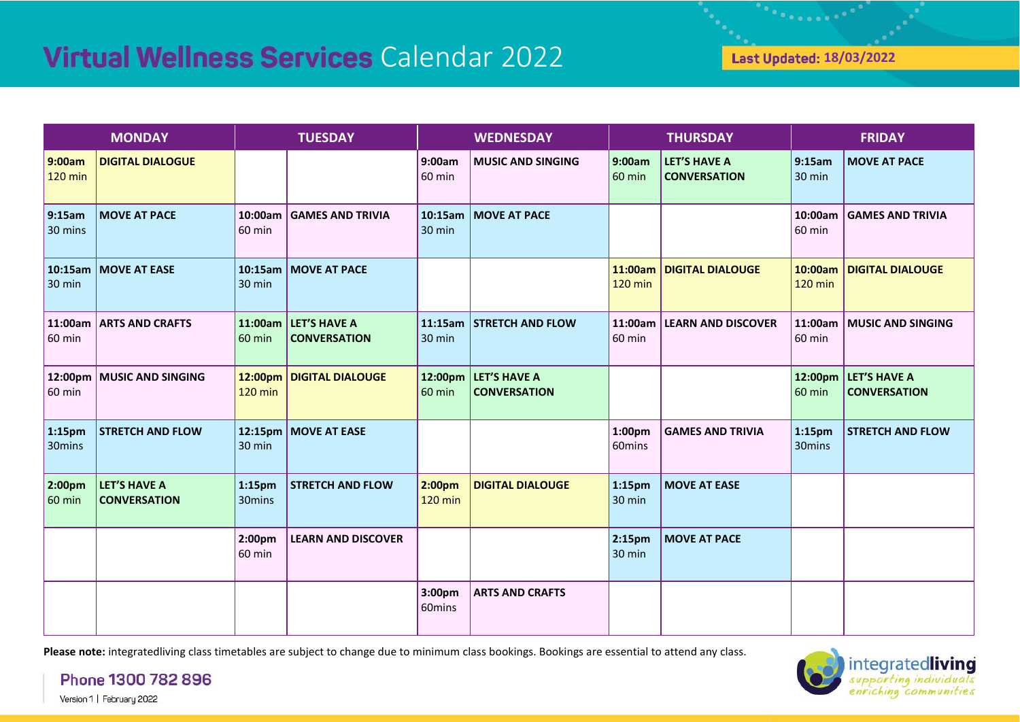and a series of the

| <b>MONDAY</b>                |                                     | <b>TUESDAY</b>               |                                             | <b>WEDNESDAY</b>                     |                                             | <b>THURSDAY</b>              |                                            | <b>FRIDAY</b>                |                                             |
|------------------------------|-------------------------------------|------------------------------|---------------------------------------------|--------------------------------------|---------------------------------------------|------------------------------|--------------------------------------------|------------------------------|---------------------------------------------|
| 9:00am<br>120 min            | <b>DIGITAL DIALOGUE</b>             |                              |                                             | 9:00am<br>60 min                     | <b>MUSIC AND SINGING</b>                    | 9:00am<br><b>60 min</b>      | <b>LET'S HAVE A</b><br><b>CONVERSATION</b> | 9:15am<br>30 min             | <b>MOVE AT PACE</b>                         |
| 9:15am<br>30 mins            | <b>MOVE AT PACE</b>                 | 60 min                       | 10:00am   GAMES AND TRIVIA                  | 30 min                               | 10:15am   MOVE AT PACE                      |                              |                                            | 10:00am<br>60 min            | <b>GAMES AND TRIVIA</b>                     |
| $30 \text{ min}$             | 10:15am   MOVE AT EASE              | 30 min                       | 10:15am   MOVE AT PACE                      |                                      |                                             | $120$ min                    | 11:00am   DIGITAL DIALOUGE                 | <b>120 min</b>               | 10:00am   DIGITAL DIALOUGE                  |
| 11:00am<br>$60 \text{ min}$  | <b>ARTS AND CRAFTS</b>              | 60 min                       | 11:00am LET'S HAVE A<br><b>CONVERSATION</b> | 30 min                               | 11:15am STRETCH AND FLOW                    | 11:00am<br>60 min            | <b>LEARN AND DISCOVER</b>                  | 60 min                       | 11:00am   MUSIC AND SINGING                 |
| $60 \text{ min}$             | 12:00pm   MUSIC AND SINGING         | <b>120 min</b>               | 12:00pm DIGITAL DIALOUGE                    | 60 min                               | 12:00pm LET'S HAVE A<br><b>CONVERSATION</b> |                              |                                            | <b>60 min</b>                | 12:00pm LET'S HAVE A<br><b>CONVERSATION</b> |
| 1:15 <sub>pm</sub><br>30mins | <b>STRETCH AND FLOW</b>             | 30 min                       | 12:15pm   MOVE AT EASE                      |                                      |                                             | 1:00 <sub>pm</sub><br>60mins | <b>GAMES AND TRIVIA</b>                    | 1:15 <sub>pm</sub><br>30mins | <b>STRETCH AND FLOW</b>                     |
| 2:00pm<br>$60 \text{ min}$   | LET'S HAVE A<br><b>CONVERSATION</b> | $1:15$ pm<br>30mins          | <b>STRETCH AND FLOW</b>                     | 2:00 <sub>pm</sub><br><b>120 min</b> | <b>DIGITAL DIALOUGE</b>                     | 1:15 <sub>pm</sub><br>30 min | <b>MOVE AT EASE</b>                        |                              |                                             |
|                              |                                     | 2:00 <sub>pm</sub><br>60 min | <b>LEARN AND DISCOVER</b>                   |                                      |                                             | 2:15pm<br>30 min             | <b>MOVE AT PACE</b>                        |                              |                                             |
|                              |                                     |                              |                                             | 3:00pm<br>60mins                     | <b>ARTS AND CRAFTS</b>                      |                              |                                            |                              |                                             |

**Please note:** integratedliving class timetables are subject to change due to minimum class bookings. Bookings are essential to attend any class.



Phone 1300 782 896 Version 1 | February 2022